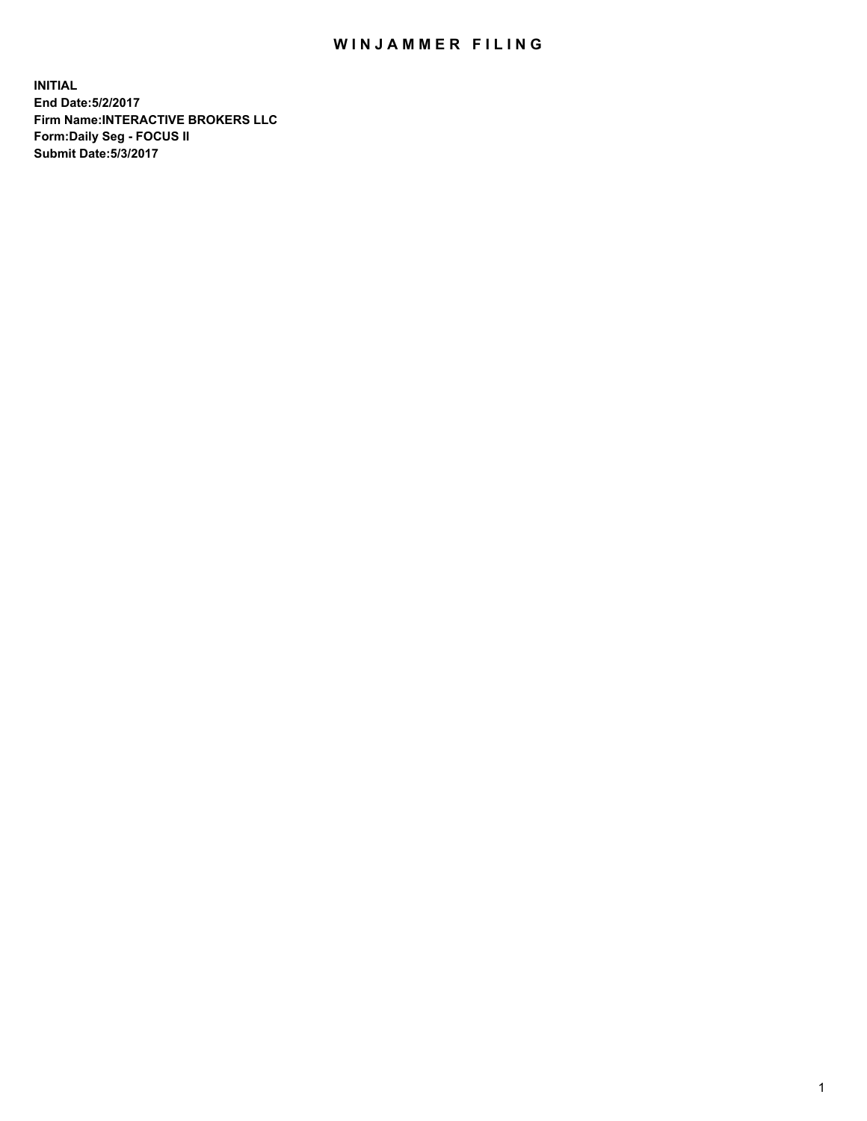## WIN JAMMER FILING

**INITIAL End Date:5/2/2017 Firm Name:INTERACTIVE BROKERS LLC Form:Daily Seg - FOCUS II Submit Date:5/3/2017**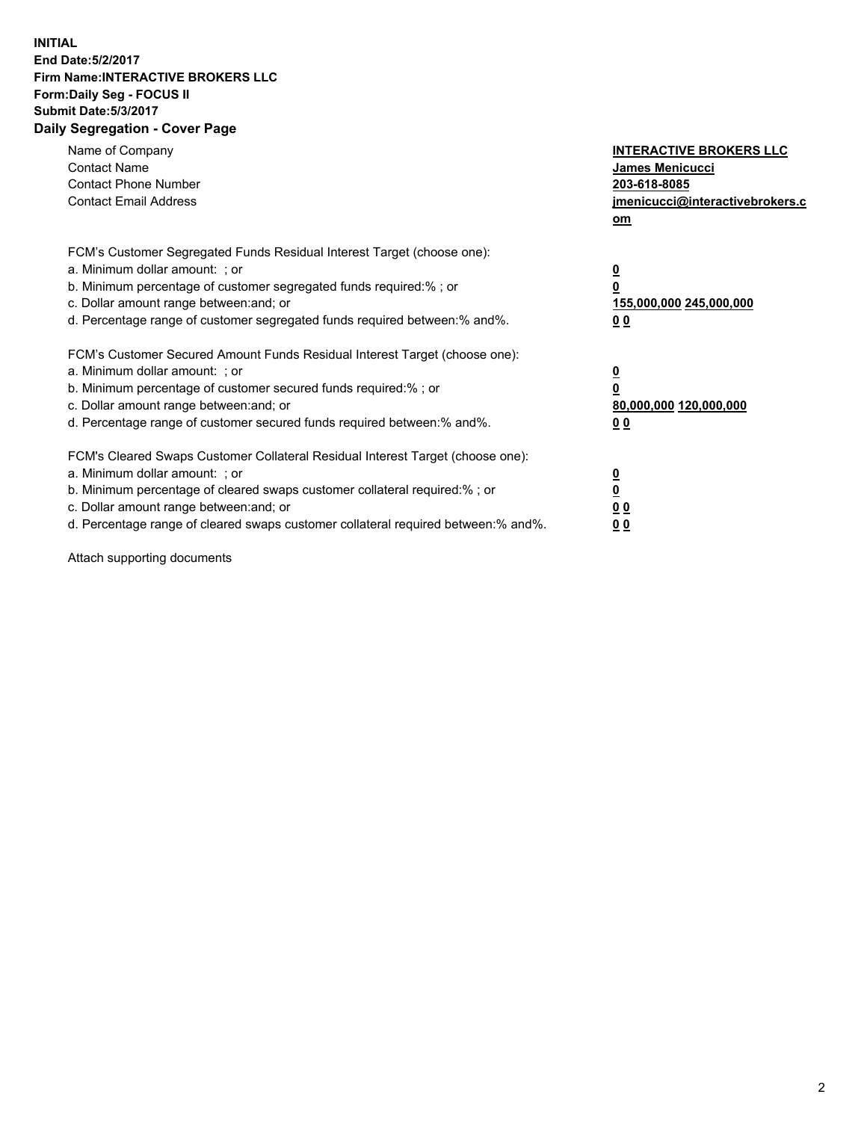## **INITIAL End Date:5/2/2017 Firm Name:INTERACTIVE BROKERS LLC Form:Daily Seg - FOCUS II Submit Date:5/3/2017 Daily Segregation - Cover Page**

| Name of Company<br><b>Contact Name</b><br><b>Contact Phone Number</b><br><b>Contact Email Address</b>                                                                                                                                                                                                                          | <b>INTERACTIVE BROKERS LLC</b><br>James Menicucci<br>203-618-8085<br>jmenicucci@interactivebrokers.c<br>om |
|--------------------------------------------------------------------------------------------------------------------------------------------------------------------------------------------------------------------------------------------------------------------------------------------------------------------------------|------------------------------------------------------------------------------------------------------------|
| FCM's Customer Segregated Funds Residual Interest Target (choose one):<br>a. Minimum dollar amount: ; or<br>b. Minimum percentage of customer segregated funds required:%; or<br>c. Dollar amount range between: and; or<br>d. Percentage range of customer segregated funds required between:% and%.                          | $\overline{\mathbf{0}}$<br>$\overline{\mathbf{0}}$<br>155,000,000 245,000,000<br>00                        |
| FCM's Customer Secured Amount Funds Residual Interest Target (choose one):<br>a. Minimum dollar amount: ; or<br>b. Minimum percentage of customer secured funds required:%; or<br>c. Dollar amount range between: and; or<br>d. Percentage range of customer secured funds required between: % and %.                          | $\overline{\mathbf{0}}$<br>0<br>80,000,000 120,000,000<br>00                                               |
| FCM's Cleared Swaps Customer Collateral Residual Interest Target (choose one):<br>a. Minimum dollar amount: ; or<br>b. Minimum percentage of cleared swaps customer collateral required:% ; or<br>c. Dollar amount range between: and; or<br>d. Percentage range of cleared swaps customer collateral required between:% and%. | $\overline{\mathbf{0}}$<br>$\underline{\mathbf{0}}$<br>0 <sub>0</sub><br>0 <sub>0</sub>                    |

Attach supporting documents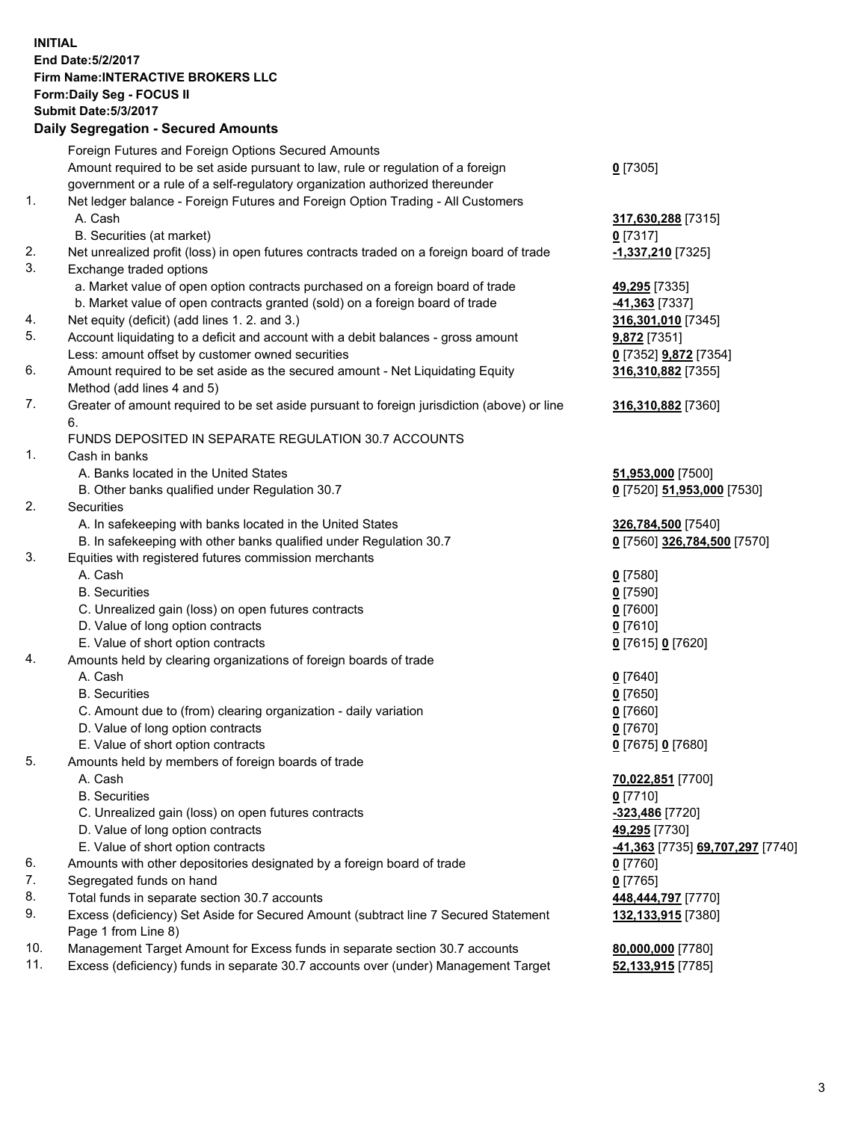## **INITIAL End Date:5/2/2017 Firm Name:INTERACTIVE BROKERS LLC Form:Daily Seg - FOCUS II Submit Date:5/3/2017 Daily Segregation - Secured Amounts**

|     | Pany Obgrogation Obbarba / 11110ani                                                                        |                                  |
|-----|------------------------------------------------------------------------------------------------------------|----------------------------------|
|     | Foreign Futures and Foreign Options Secured Amounts                                                        |                                  |
|     | Amount required to be set aside pursuant to law, rule or regulation of a foreign                           | $0$ [7305]                       |
|     | government or a rule of a self-regulatory organization authorized thereunder                               |                                  |
| 1.  | Net ledger balance - Foreign Futures and Foreign Option Trading - All Customers                            |                                  |
|     | A. Cash                                                                                                    | 317,630,288 [7315]               |
|     | B. Securities (at market)                                                                                  | 0 [7317]                         |
| 2.  | Net unrealized profit (loss) in open futures contracts traded on a foreign board of trade                  | -1,337,210 [7325]                |
| 3.  | Exchange traded options                                                                                    |                                  |
|     | a. Market value of open option contracts purchased on a foreign board of trade                             | 49,295 [7335]                    |
|     | b. Market value of open contracts granted (sold) on a foreign board of trade                               | -41,363 [7337]                   |
| 4.  | Net equity (deficit) (add lines 1.2. and 3.)                                                               | 316,301,010 [7345]               |
| 5.  | Account liquidating to a deficit and account with a debit balances - gross amount                          | 9,872 [7351]                     |
|     | Less: amount offset by customer owned securities                                                           | 0 [7352] 9,872 [7354]            |
| 6.  | Amount required to be set aside as the secured amount - Net Liquidating Equity                             | 316,310,882 [7355]               |
|     | Method (add lines 4 and 5)                                                                                 |                                  |
| 7.  | Greater of amount required to be set aside pursuant to foreign jurisdiction (above) or line                | 316,310,882 [7360]               |
|     | 6.                                                                                                         |                                  |
|     | FUNDS DEPOSITED IN SEPARATE REGULATION 30.7 ACCOUNTS                                                       |                                  |
| 1.  | Cash in banks                                                                                              |                                  |
|     | A. Banks located in the United States                                                                      | 51,953,000 [7500]                |
|     | B. Other banks qualified under Regulation 30.7                                                             | 0 [7520] 51,953,000 [7530]       |
| 2.  | Securities                                                                                                 |                                  |
|     | A. In safekeeping with banks located in the United States                                                  | 326,784,500 [7540]               |
|     | B. In safekeeping with other banks qualified under Regulation 30.7                                         | 0 [7560] 326,784,500 [7570]      |
| 3.  | Equities with registered futures commission merchants                                                      |                                  |
|     | A. Cash                                                                                                    | $0$ [7580]                       |
|     | <b>B.</b> Securities                                                                                       | $0$ [7590]                       |
|     | C. Unrealized gain (loss) on open futures contracts                                                        | $0$ [7600]                       |
|     | D. Value of long option contracts                                                                          | $0$ [7610]                       |
|     | E. Value of short option contracts                                                                         | 0 [7615] 0 [7620]                |
| 4.  | Amounts held by clearing organizations of foreign boards of trade                                          |                                  |
|     | A. Cash                                                                                                    | $0$ [7640]                       |
|     | <b>B.</b> Securities                                                                                       | $0$ [7650]                       |
|     | C. Amount due to (from) clearing organization - daily variation                                            | $0$ [7660]                       |
|     | D. Value of long option contracts                                                                          | $0$ [7670]                       |
|     | E. Value of short option contracts                                                                         | 0 [7675] 0 [7680]                |
| 5.  | Amounts held by members of foreign boards of trade                                                         |                                  |
|     | A. Cash                                                                                                    | 70,022,851 [7700]                |
|     | <b>B.</b> Securities                                                                                       | $0$ [7710]                       |
|     | C. Unrealized gain (loss) on open futures contracts                                                        | -323,486 [7720]                  |
|     | D. Value of long option contracts                                                                          | 49,295 [7730]                    |
|     | E. Value of short option contracts                                                                         | -41,363 [7735] 69,707,297 [7740] |
| 6.  | Amounts with other depositories designated by a foreign board of trade                                     | $0$ [7760]                       |
| 7.  | Segregated funds on hand                                                                                   | $0$ [7765]                       |
| 8.  | Total funds in separate section 30.7 accounts                                                              | 448,444,797 [7770]               |
| 9.  | Excess (deficiency) Set Aside for Secured Amount (subtract line 7 Secured Statement<br>Page 1 from Line 8) | 132,133,915 [7380]               |
| 10. | Management Target Amount for Excess funds in separate section 30.7 accounts                                | 80,000,000 [7780]                |
| 11. | Excess (deficiency) funds in separate 30.7 accounts over (under) Management Target                         | 52,133,915 [7785]                |
|     |                                                                                                            |                                  |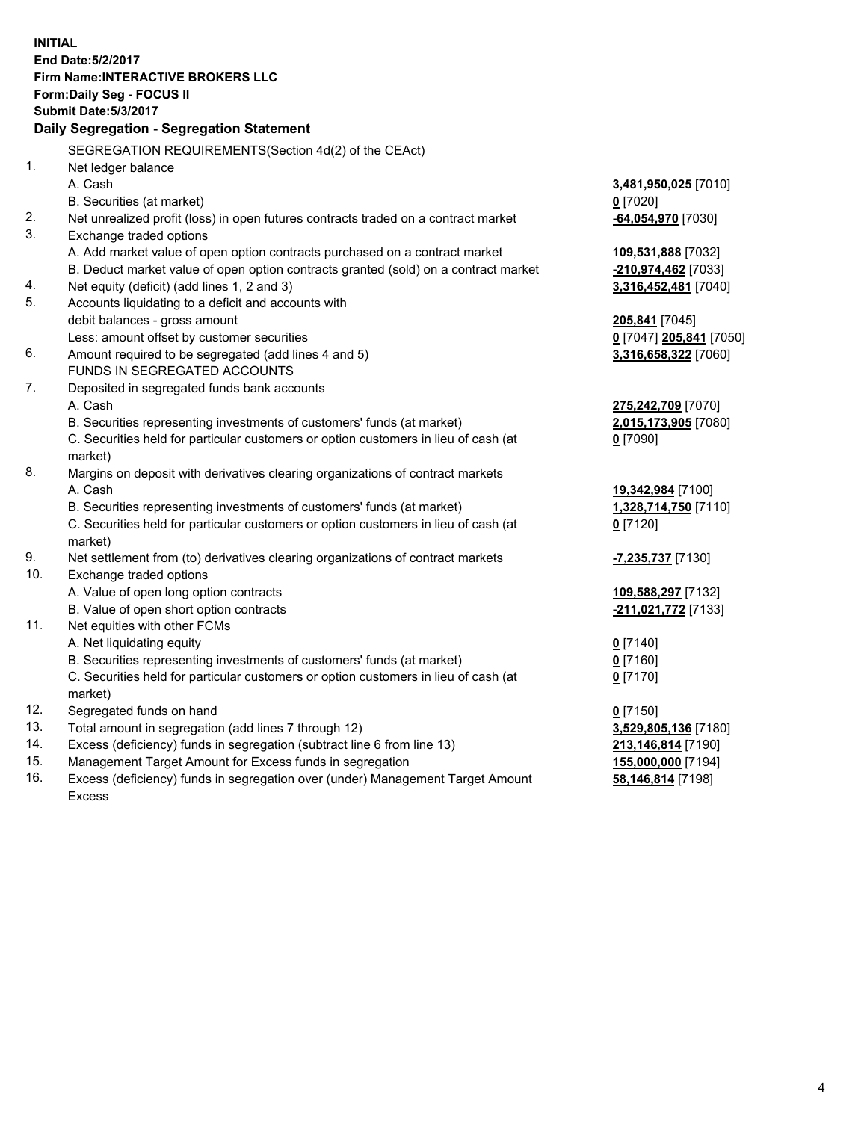**INITIAL End Date:5/2/2017 Firm Name:INTERACTIVE BROKERS LLC Form:Daily Seg - FOCUS II Submit Date:5/3/2017 Daily Segregation - Segregation Statement** SEGREGATION REQUIREMENTS(Section 4d(2) of the CEAct) 1. Net ledger balance A. Cash **3,481,950,025** [7010] B. Securities (at market) **0** [7020] 2. Net unrealized profit (loss) in open futures contracts traded on a contract market **-64,054,970** [7030] 3. Exchange traded options A. Add market value of open option contracts purchased on a contract market **109,531,888** [7032] B. Deduct market value of open option contracts granted (sold) on a contract market **-210,974,462** [7033] 4. Net equity (deficit) (add lines 1, 2 and 3) **3,316,452,481** [7040] 5. Accounts liquidating to a deficit and accounts with debit balances - gross amount **205,841** [7045] Less: amount offset by customer securities **0** [7047] **205,841** [7050] 6. Amount required to be segregated (add lines 4 and 5) **3,316,658,322** [7060] FUNDS IN SEGREGATED ACCOUNTS 7. Deposited in segregated funds bank accounts A. Cash **275,242,709** [7070] B. Securities representing investments of customers' funds (at market) **2,015,173,905** [7080] C. Securities held for particular customers or option customers in lieu of cash (at market) **0** [7090] 8. Margins on deposit with derivatives clearing organizations of contract markets A. Cash **19,342,984** [7100] B. Securities representing investments of customers' funds (at market) **1,328,714,750** [7110] C. Securities held for particular customers or option customers in lieu of cash (at market) **0** [7120] 9. Net settlement from (to) derivatives clearing organizations of contract markets **-7,235,737** [7130] 10. Exchange traded options A. Value of open long option contracts **109,588,297** [7132] B. Value of open short option contracts **-211,021,772** [7133] 11. Net equities with other FCMs A. Net liquidating equity **0** [7140] B. Securities representing investments of customers' funds (at market) **0** [7160] C. Securities held for particular customers or option customers in lieu of cash (at market) **0** [7170] 12. Segregated funds on hand **0** [7150] 13. Total amount in segregation (add lines 7 through 12) **3,529,805,136** [7180] 14. Excess (deficiency) funds in segregation (subtract line 6 from line 13) **213,146,814** [7190] 15. Management Target Amount for Excess funds in segregation **155,000,000** [7194] **58,146,814** [7198]

16. Excess (deficiency) funds in segregation over (under) Management Target Amount Excess